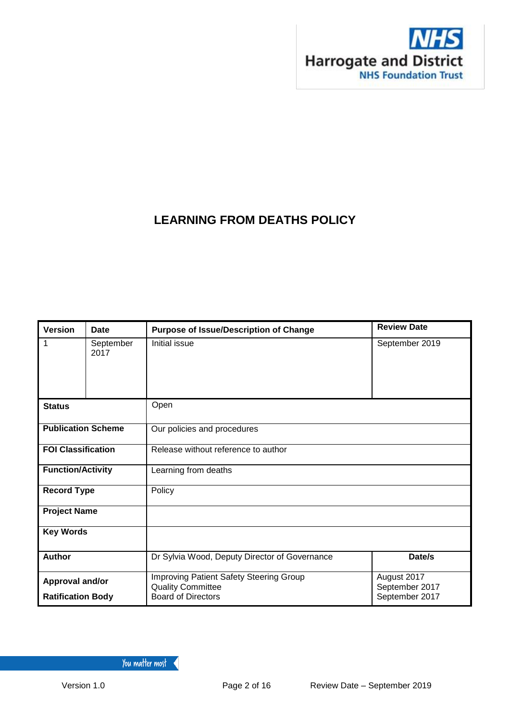

# **LEARNING FROM DEATHS POLICY**

| <b>Version</b>            | <b>Date</b>       | <b>Purpose of Issue/Description of Change</b>                       | <b>Review Date</b>            |  |
|---------------------------|-------------------|---------------------------------------------------------------------|-------------------------------|--|
|                           | September<br>2017 | Initial issue                                                       | September 2019                |  |
| <b>Status</b>             |                   | Open                                                                |                               |  |
| <b>Publication Scheme</b> |                   | Our policies and procedures                                         |                               |  |
| <b>FOI Classification</b> |                   | Release without reference to author                                 |                               |  |
| <b>Function/Activity</b>  |                   | Learning from deaths                                                |                               |  |
| <b>Record Type</b>        |                   | Policy                                                              |                               |  |
| <b>Project Name</b>       |                   |                                                                     |                               |  |
| <b>Key Words</b>          |                   |                                                                     |                               |  |
| <b>Author</b>             |                   | Dr Sylvia Wood, Deputy Director of Governance                       | Date/s                        |  |
| Approval and/or           |                   | Improving Patient Safety Steering Group<br><b>Quality Committee</b> | August 2017<br>September 2017 |  |
| <b>Ratification Body</b>  |                   | <b>Board of Directors</b>                                           | September 2017                |  |

You matter most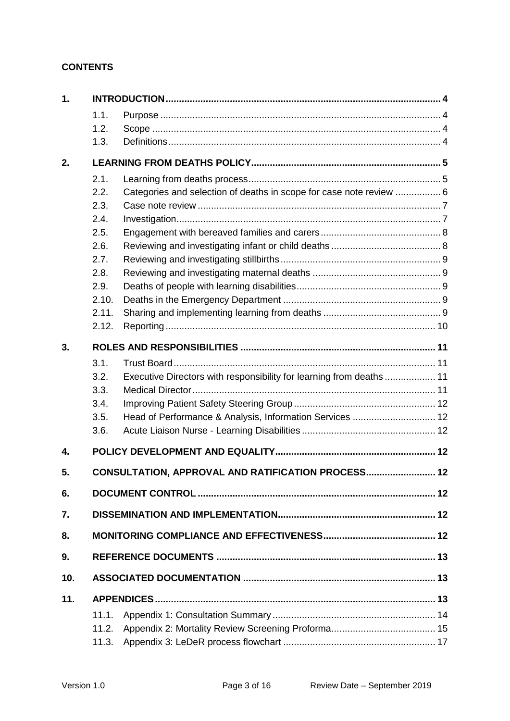### **CONTENTS**

| 1.  |       |                                                                      |  |
|-----|-------|----------------------------------------------------------------------|--|
|     | 1.1.  |                                                                      |  |
|     | 1.2.  |                                                                      |  |
|     | 1.3.  |                                                                      |  |
| 2.  |       |                                                                      |  |
|     | 2.1.  |                                                                      |  |
|     | 2.2.  | Categories and selection of deaths in scope for case note review  6  |  |
|     | 2.3.  |                                                                      |  |
|     | 2.4.  |                                                                      |  |
|     | 2.5.  |                                                                      |  |
|     | 2.6.  |                                                                      |  |
|     | 2.7.  |                                                                      |  |
|     | 2.8.  |                                                                      |  |
|     | 2.9.  |                                                                      |  |
|     | 2.10. |                                                                      |  |
|     | 2.11. |                                                                      |  |
|     | 2.12. |                                                                      |  |
| 3.  |       |                                                                      |  |
|     | 3.1.  |                                                                      |  |
|     | 3.2.  | Executive Directors with responsibility for learning from deaths  11 |  |
|     | 3.3.  |                                                                      |  |
|     | 3.4.  |                                                                      |  |
|     | 3.5.  | Head of Performance & Analysis, Information Services  12             |  |
|     | 3.6.  |                                                                      |  |
| 4.  |       |                                                                      |  |
| 5.  |       | CONSULTATION, APPROVAL AND RATIFICATION PROCESS 12                   |  |
|     |       |                                                                      |  |
| 6.  |       |                                                                      |  |
| 7.  |       |                                                                      |  |
| 8.  |       |                                                                      |  |
| 9.  |       |                                                                      |  |
| 10. |       |                                                                      |  |
| 11. |       |                                                                      |  |
|     | 11.1. |                                                                      |  |
|     | 11.2. |                                                                      |  |
|     | 11.3. |                                                                      |  |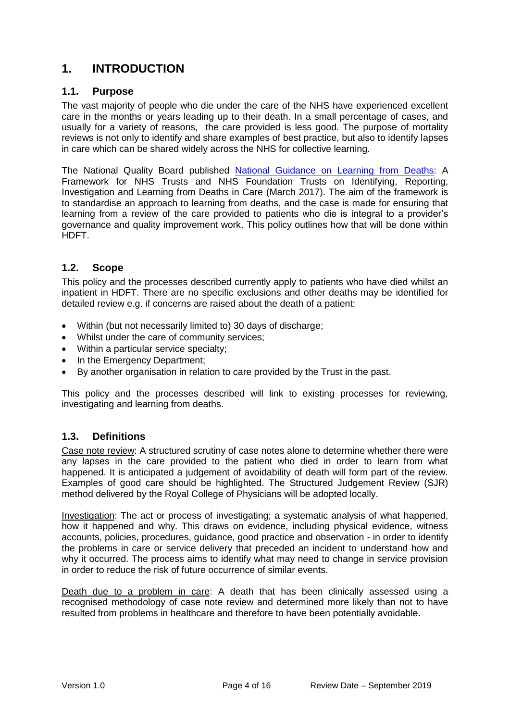## <span id="page-2-0"></span>**1. INTRODUCTION**

#### <span id="page-2-1"></span>**1.1. Purpose**

The vast majority of people who die under the care of the NHS have experienced excellent care in the months or years leading up to their death. In a small percentage of cases, and usually for a variety of reasons, the care provided is less good. The purpose of mortality reviews is not only to identify and share examples of best practice, but also to identify lapses in care which can be shared widely across the NHS for collective learning.

The National Quality Board published [National Guidance on Learning from Deaths:](https://www.google.co.uk/search?site=&source=hp&q=national+guidance+on+learning+from+deaths&oq=national+guidance+on+learning+from+deaths&gs_l=psy-ab.3..0.1187.8186.0.8502.41.33.0.0.0.0.368.5351.0j9j9j4.22.0....0...1.1.64.psy-ab..19.22.5347...0i131k1j0i22i30k1.E5ldQJb1jdI) A Framework for NHS Trusts and NHS Foundation Trusts on Identifying, Reporting, Investigation and Learning from Deaths in Care (March 2017). The aim of the framework is to standardise an approach to learning from deaths, and the case is made for ensuring that learning from a review of the care provided to patients who die is integral to a provider's governance and quality improvement work. This policy outlines how that will be done within HDFT.

#### <span id="page-2-2"></span>**1.2. Scope**

This policy and the processes described currently apply to patients who have died whilst an inpatient in HDFT. There are no specific exclusions and other deaths may be identified for detailed review e.g. if concerns are raised about the death of a patient:

- Within (but not necessarily limited to) 30 days of discharge;
- Whilst under the care of community services;
- Within a particular service specialty;
- In the Emergency Department;
- By another organisation in relation to care provided by the Trust in the past.

This policy and the processes described will link to existing processes for reviewing, investigating and learning from deaths.

#### <span id="page-2-3"></span>**1.3. Definitions**

Case note review: A structured scrutiny of case notes alone to determine whether there were any lapses in the care provided to the patient who died in order to learn from what happened. It is anticipated a judgement of avoidability of death will form part of the review. Examples of good care should be highlighted. The Structured Judgement Review (SJR) method delivered by the Royal College of Physicians will be adopted locally.

Investigation: The act or process of investigating; a systematic analysis of what happened, how it happened and why. This draws on evidence, including physical evidence, witness accounts, policies, procedures, guidance, good practice and observation - in order to identify the problems in care or service delivery that preceded an incident to understand how and why it occurred. The process aims to identify what may need to change in service provision in order to reduce the risk of future occurrence of similar events.

Death due to a problem in care: A death that has been clinically assessed using a recognised methodology of case note review and determined more likely than not to have resulted from problems in healthcare and therefore to have been potentially avoidable.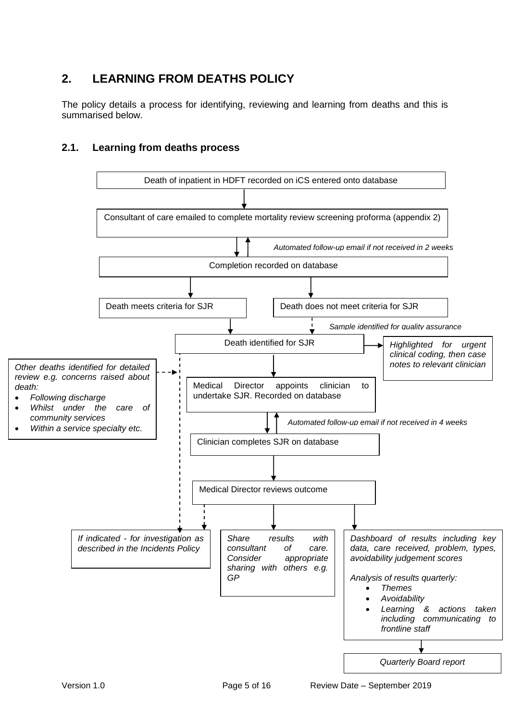# <span id="page-3-0"></span>**2. LEARNING FROM DEATHS POLICY**

The policy details a process for identifying, reviewing and learning from deaths and this is summarised below.

### <span id="page-3-1"></span>**2.1. Learning from deaths process**

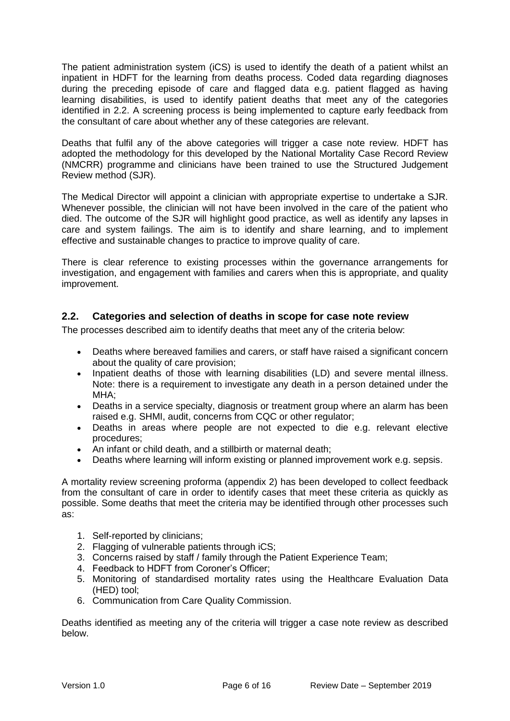The patient administration system (iCS) is used to identify the death of a patient whilst an inpatient in HDFT for the learning from deaths process. Coded data regarding diagnoses during the preceding episode of care and flagged data e.g. patient flagged as having learning disabilities, is used to identify patient deaths that meet any of the categories identified in 2.2. A screening process is being implemented to capture early feedback from the consultant of care about whether any of these categories are relevant.

Deaths that fulfil any of the above categories will trigger a case note review. HDFT has adopted the methodology for this developed by the National Mortality Case Record Review (NMCRR) programme and clinicians have been trained to use the Structured Judgement Review method (SJR).

The Medical Director will appoint a clinician with appropriate expertise to undertake a SJR. Whenever possible, the clinician will not have been involved in the care of the patient who died. The outcome of the SJR will highlight good practice, as well as identify any lapses in care and system failings. The aim is to identify and share learning, and to implement effective and sustainable changes to practice to improve quality of care.

There is clear reference to existing processes within the governance arrangements for investigation, and engagement with families and carers when this is appropriate, and quality improvement.

### <span id="page-4-0"></span>**2.2. Categories and selection of deaths in scope for case note review**

The processes described aim to identify deaths that meet any of the criteria below:

- Deaths where bereaved families and carers, or staff have raised a significant concern about the quality of care provision;
- Inpatient deaths of those with learning disabilities (LD) and severe mental illness. Note: there is a requirement to investigate any death in a person detained under the MHA;
- Deaths in a service specialty, diagnosis or treatment group where an alarm has been raised e.g. SHMI, audit, concerns from CQC or other regulator;
- Deaths in areas where people are not expected to die e.g. relevant elective procedures;
- An infant or child death, and a stillbirth or maternal death;
- Deaths where learning will inform existing or planned improvement work e.g. sepsis.

A mortality review screening proforma (appendix 2) has been developed to collect feedback from the consultant of care in order to identify cases that meet these criteria as quickly as possible. Some deaths that meet the criteria may be identified through other processes such as:

- 1. Self-reported by clinicians;
- 2. Flagging of vulnerable patients through iCS;
- 3. Concerns raised by staff / family through the Patient Experience Team;
- 4. Feedback to HDFT from Coroner's Officer;
- 5. Monitoring of standardised mortality rates using the Healthcare Evaluation Data (HED) tool;
- 6. Communication from Care Quality Commission.

Deaths identified as meeting any of the criteria will trigger a case note review as described below.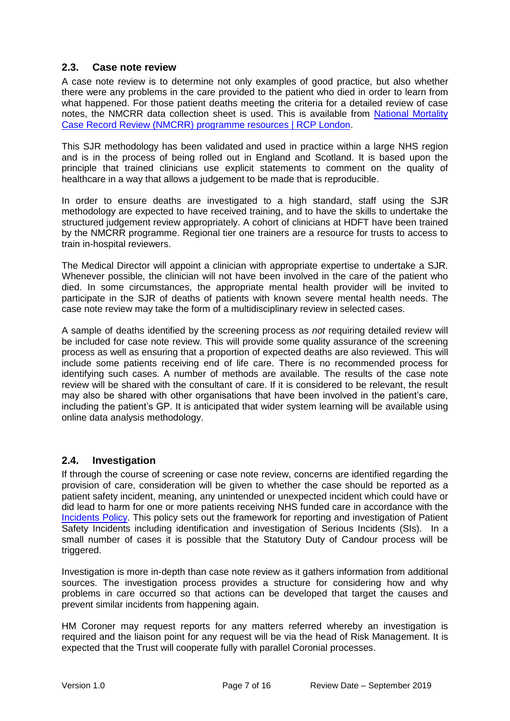#### <span id="page-5-0"></span>**2.3. Case note review**

A case note review is to determine not only examples of good practice, but also whether there were any problems in the care provided to the patient who died in order to learn from what happened. For those patient deaths meeting the criteria for a detailed review of case notes, the NMCRR data collection sheet is used. This is available from [National Mortality](https://www.rcplondon.ac.uk/projects/outputs/national-mortality-case-record-review-nmcrr-programme-resources)  [Case Record Review \(NMCRR\) programme resources | RCP London.](https://www.rcplondon.ac.uk/projects/outputs/national-mortality-case-record-review-nmcrr-programme-resources)

This SJR methodology has been validated and used in practice within a large NHS region and is in the process of being rolled out in England and Scotland. It is based upon the principle that trained clinicians use explicit statements to comment on the quality of healthcare in a way that allows a judgement to be made that is reproducible.

In order to ensure deaths are investigated to a high standard, staff using the SJR methodology are expected to have received training, and to have the skills to undertake the structured judgement review appropriately. A cohort of clinicians at HDFT have been trained by the NMCRR programme. Regional tier one trainers are a resource for trusts to access to train in-hospital reviewers.

The Medical Director will appoint a clinician with appropriate expertise to undertake a SJR. Whenever possible, the clinician will not have been involved in the care of the patient who died. In some circumstances, the appropriate mental health provider will be invited to participate in the SJR of deaths of patients with known severe mental health needs. The case note review may take the form of a multidisciplinary review in selected cases.

A sample of deaths identified by the screening process as *not* requiring detailed review will be included for case note review. This will provide some quality assurance of the screening process as well as ensuring that a proportion of expected deaths are also reviewed. This will include some patients receiving end of life care. There is no recommended process for identifying such cases. A number of methods are available. The results of the case note review will be shared with the consultant of care. If it is considered to be relevant, the result may also be shared with other organisations that have been involved in the patient's care, including the patient's GP. It is anticipated that wider system learning will be available using online data analysis methodology.

#### <span id="page-5-1"></span>**2.4. Investigation**

If through the course of screening or case note review, concerns are identified regarding the provision of care, consideration will be given to whether the case should be reported as a patient safety incident, meaning, any unintended or unexpected incident which could have or did lead to harm for one or more patients receiving NHS funded care in accordance with the [Incidents Policy.](http://nww.hdft.nhs.uk/corporate/department-of-risk-patient-experience/strategy-policies-and-protocols/) This policy sets out the framework for reporting and investigation of Patient Safety Incidents including identification and investigation of Serious Incidents (SIs). In a small number of cases it is possible that the Statutory Duty of Candour process will be triggered.

Investigation is more in-depth than case note review as it gathers information from additional sources. The investigation process provides a structure for considering how and why problems in care occurred so that actions can be developed that target the causes and prevent similar incidents from happening again.

HM Coroner may request reports for any matters referred whereby an investigation is required and the liaison point for any request will be via the head of Risk Management. It is expected that the Trust will cooperate fully with parallel Coronial processes.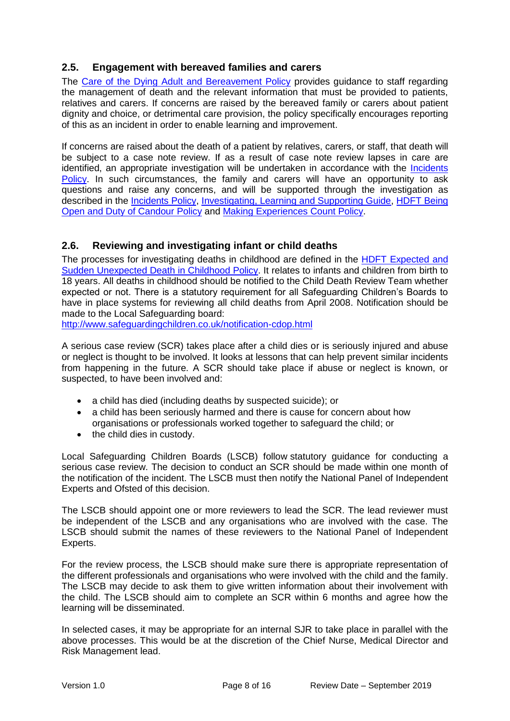#### <span id="page-6-0"></span>**2.5. Engagement with bereaved families and carers**

The [Care of the Dying Adult and Bereavement Policy](http://nww.hdft.nhs.uk/EasysiteWeb/getresource.axd?AssetID=5452&type=full&servicetype=Attachment) provides guidance to staff regarding the management of death and the relevant information that must be provided to patients, relatives and carers. If concerns are raised by the bereaved family or carers about patient dignity and choice, or detrimental care provision, the policy specifically encourages reporting of this as an incident in order to enable learning and improvement.

If concerns are raised about the death of a patient by relatives, carers, or staff, that death will be subject to a case note review. If as a result of case note review lapses in care are identified, an appropriate investigation will be undertaken in accordance with the Incidents [Policy.](http://nww.hdft.nhs.uk/corporate/department-of-risk-patient-experience/strategy-policies-and-protocols/) In such circumstances, the family and carers will have an opportunity to ask questions and raise any concerns, and will be supported through the investigation as described in the [Incidents Policy,](http://nww.hdft.nhs.uk/corporate/department-of-risk-patient-experience/strategy-policies-and-protocols/) [Investigating, Learning and Supporting Guide,](http://nww.hdft.nhs.uk/EasysiteWeb/getresource.axd?AssetID=5099&type=full&servicetype=Attachment) [HDFT Being](http://nww.hdft.nhs.uk/EasysiteWeb/getresource.axd?AssetID=2659&type=full&servicetype=Attachment)  [Open and Duty of Candour Policy](http://nww.hdft.nhs.uk/EasysiteWeb/getresource.axd?AssetID=2659&type=full&servicetype=Attachment) and [Making Experiences Count Policy.](http://nww.hdft.nhs.uk/EasysiteWeb/getresource.axd?AssetID=30473&type=full&servicetype=Attachment)

### <span id="page-6-1"></span>**2.6. Reviewing and investigating infant or child deaths**

The processes for investigating deaths in childhood are defined in the **HDFT** Expected and [Sudden Unexpected Death in Childhood Policy.](http://nww.hdft.nhs.uk/EasysiteWeb/getresource.axd?AssetID=20438&type=full&servicetype=Attachment) It relates to infants and children from birth to 18 years. All deaths in childhood should be notified to the Child Death Review Team whether expected or not. There is a statutory requirement for all Safeguarding Children's Boards to have in place systems for reviewing all child deaths from April 2008. Notification should be made to the Local Safeguarding board:

<http://www.safeguardingchildren.co.uk/notification-cdop.html>

A serious case review (SCR) takes place after a child dies or is seriously injured and abuse or neglect is thought to be involved. It looks at lessons that can help prevent similar incidents from happening in the future. A SCR should take place if abuse or neglect is known, or suspected, to have been involved and:

- a child has died (including deaths by suspected suicide); or
- a child has been seriously harmed and there is cause for concern about how organisations or professionals worked together to safeguard the child; or
- the child dies in custody.

Local Safeguarding Children Boards (LSCB) follow [statutory guidance](https://www.gov.uk/government/uploads/system/uploads/attachment_data/file/419595/Working_Together_to_Safeguard_Children.pdf) for conducting a serious case review. The decision to conduct an SCR should be made within one month of the notification of the incident. The LSCB must then notify the National Panel of Independent Experts and Ofsted of this decision.

The LSCB should appoint one or more reviewers to lead the SCR. The lead reviewer must be independent of the LSCB and any organisations who are involved with the case. The LSCB should submit the names of these reviewers to the National Panel of Independent Experts.

For the review process, the LSCB should make sure there is appropriate representation of the different professionals and organisations who were involved with the child and the family. The LSCB may decide to ask them to give written information about their involvement with the child. The LSCB should aim to complete an SCR within 6 months and agree how the learning will be disseminated.

In selected cases, it may be appropriate for an internal SJR to take place in parallel with the above processes. This would be at the discretion of the Chief Nurse, Medical Director and Risk Management lead.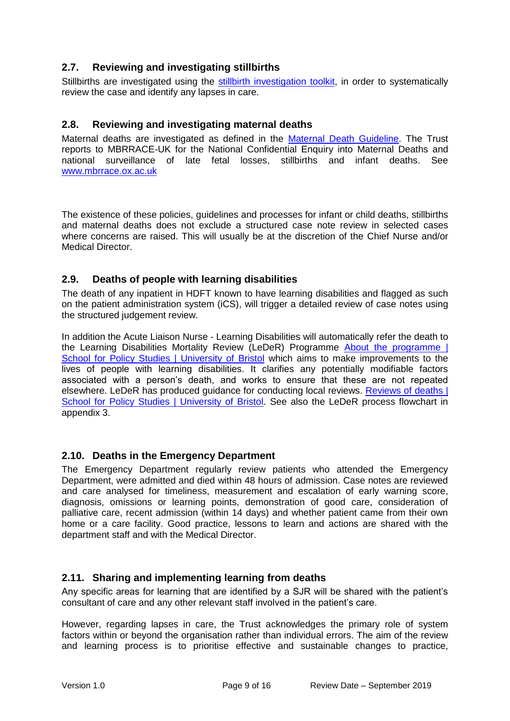### <span id="page-7-0"></span>**2.7. Reviewing and investigating stillbirths**

Stillbirths are investigated using the [stillbirth investigation toolkit,](http://nww.hdft.nhs.uk/EasysiteWeb/getresource.axd?AssetID=73163&type=full&servicetype=Attachment) in order to systematically review the case and identify any lapses in care.

#### <span id="page-7-1"></span>**2.8. Reviewing and investigating maternal deaths**

Maternal deaths are investigated as defined in the [Maternal Death Guideline.](http://nww.hdft.nhs.uk/EasysiteWeb/getresource.axd?AssetID=4895&type=full&servicetype=Attachment) The Trust reports to MBRRACE-UK for the National Confidential Enquiry into Maternal Deaths and national surveillance of late fetal losses, stillbirths and infant deaths. See [www.mbrrace.ox.ac.uk](http://www.mbrrace.ox.ac.uk/)

The existence of these policies, guidelines and processes for infant or child deaths, stillbirths and maternal deaths does not exclude a structured case note review in selected cases where concerns are raised. This will usually be at the discretion of the Chief Nurse and/or Medical Director.

#### <span id="page-7-2"></span>**2.9. Deaths of people with learning disabilities**

The death of any inpatient in HDFT known to have learning disabilities and flagged as such on the patient administration system (iCS), will trigger a detailed review of case notes using the structured judgement review.

In addition the Acute Liaison Nurse - Learning Disabilities will automatically refer the death to the Learning Disabilities Mortality Review (LeDeR) Programme About the programme | [School for Policy Studies | University of Bristol](http://www.bristol.ac.uk/sps/leder/about/) which aims to make improvements to the lives of people with learning disabilities. It clarifies any potentially modifiable factors associated with a person's death, and works to ensure that these are not repeated elsewhere. LeDeR has produced guidance for conducting local reviews. Reviews of deaths | [School for Policy Studies | University of Bristol.](http://www.bristol.ac.uk/sps/leder/about/reviews-of-deaths/) See also the LeDeR process flowchart in appendix 3.

#### <span id="page-7-3"></span>**2.10. Deaths in the Emergency Department**

The Emergency Department regularly review patients who attended the Emergency Department, were admitted and died within 48 hours of admission. Case notes are reviewed and care analysed for timeliness, measurement and escalation of early warning score, diagnosis, omissions or learning points, demonstration of good care, consideration of palliative care, recent admission (within 14 days) and whether patient came from their own home or a care facility. Good practice, lessons to learn and actions are shared with the department staff and with the Medical Director.

#### <span id="page-7-4"></span>**2.11. Sharing and implementing learning from deaths**

Any specific areas for learning that are identified by a SJR will be shared with the patient's consultant of care and any other relevant staff involved in the patient's care.

However, regarding lapses in care, the Trust acknowledges the primary role of system factors within or beyond the organisation rather than individual errors. The aim of the review and learning process is to prioritise effective and sustainable changes to practice,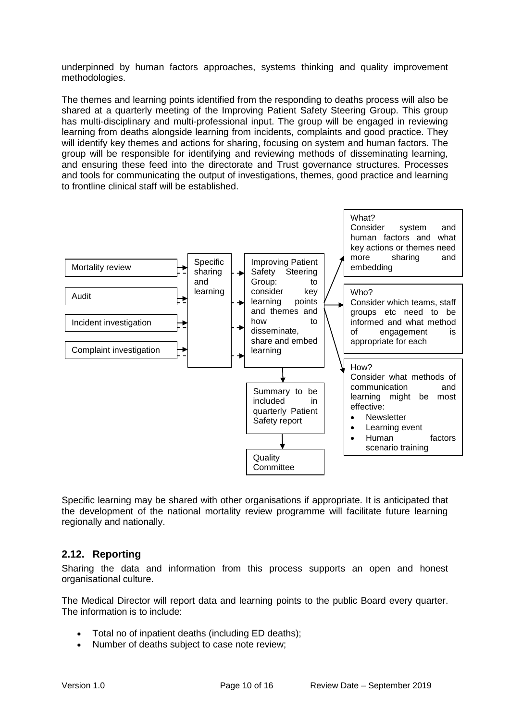underpinned by human factors approaches, systems thinking and quality improvement methodologies.

The themes and learning points identified from the responding to deaths process will also be shared at a quarterly meeting of the Improving Patient Safety Steering Group. This group has multi-disciplinary and multi-professional input. The group will be engaged in reviewing learning from deaths alongside learning from incidents, complaints and good practice. They will identify key themes and actions for sharing, focusing on system and human factors. The group will be responsible for identifying and reviewing methods of disseminating learning, and ensuring these feed into the directorate and Trust governance structures. Processes and tools for communicating the output of investigations, themes, good practice and learning to frontline clinical staff will be established.



Specific learning may be shared with other organisations if appropriate. It is anticipated that the development of the national mortality review programme will facilitate future learning regionally and nationally.

#### <span id="page-8-0"></span>**2.12. Reporting**

Sharing the data and information from this process supports an open and honest organisational culture.

The Medical Director will report data and learning points to the public Board every quarter. The information is to include:

- Total no of inpatient deaths (including ED deaths);
- Number of deaths subject to case note review;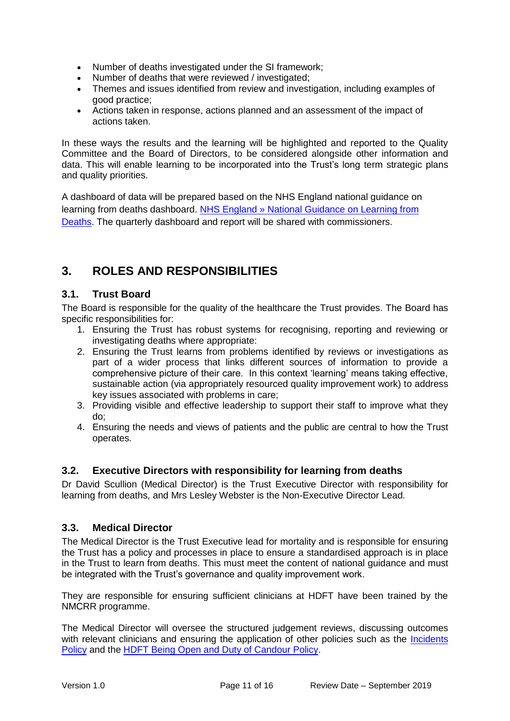- Number of deaths investigated under the SI framework;
- Number of deaths that were reviewed / investigated;
- Themes and issues identified from review and investigation, including examples of good practice;
- Actions taken in response, actions planned and an assessment of the impact of actions taken.

In these ways the results and the learning will be highlighted and reported to the Quality Committee and the Board of Directors, to be considered alongside other information and data. This will enable learning to be incorporated into the Trust's long term strategic plans and quality priorities.

A dashboard of data will be prepared based on the NHS England national guidance on learning from deaths dashboard. [NHS England » National Guidance on Learning from](https://www.england.nhs.uk/publication/national-guidance-on-learning-from-deaths/)  [Deaths.](https://www.england.nhs.uk/publication/national-guidance-on-learning-from-deaths/) The quarterly dashboard and report will be shared with commissioners.

## <span id="page-9-0"></span>**3. ROLES AND RESPONSIBILITIES**

#### <span id="page-9-1"></span>**3.1. Trust Board**

The Board is responsible for the quality of the healthcare the Trust provides. The Board has specific responsibilities for:

- 1. Ensuring the Trust has robust systems for recognising, reporting and reviewing or investigating deaths where appropriate:
- 2. Ensuring the Trust learns from problems identified by reviews or investigations as part of a wider process that links different sources of information to provide a comprehensive picture of their care. In this context 'learning' means taking effective, sustainable action (via appropriately resourced quality improvement work) to address key issues associated with problems in care;
- 3. Providing visible and effective leadership to support their staff to improve what they do;
- 4. Ensuring the needs and views of patients and the public are central to how the Trust operates.

#### <span id="page-9-2"></span>**3.2. Executive Directors with responsibility for learning from deaths**

Dr David Scullion (Medical Director) is the Trust Executive Director with responsibility for learning from deaths, and Mrs Lesley Webster is the Non-Executive Director Lead.

#### <span id="page-9-3"></span>**3.3. Medical Director**

The Medical Director is the Trust Executive lead for mortality and is responsible for ensuring the Trust has a policy and processes in place to ensure a standardised approach is in place in the Trust to learn from deaths. This must meet the content of national guidance and must be integrated with the Trust's governance and quality improvement work.

They are responsible for ensuring sufficient clinicians at HDFT have been trained by the NMCRR programme.

The Medical Director will oversee the structured judgement reviews, discussing outcomes with relevant clinicians and ensuring the application of other policies such as the Incidents [Policy](http://nww.hdft.nhs.uk/corporate/department-of-risk-patient-experience/strategy-policies-and-protocols/) and the [HDFT Being Open and Duty of Candour Policy.](http://nww.hdft.nhs.uk/EasysiteWeb/getresource.axd?AssetID=2659&type=full&servicetype=Attachment)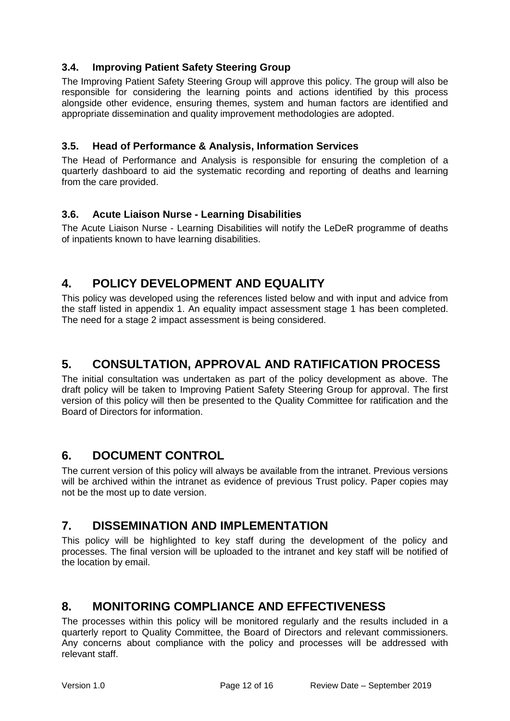### <span id="page-10-0"></span>**3.4. Improving Patient Safety Steering Group**

The Improving Patient Safety Steering Group will approve this policy. The group will also be responsible for considering the learning points and actions identified by this process alongside other evidence, ensuring themes, system and human factors are identified and appropriate dissemination and quality improvement methodologies are adopted.

#### <span id="page-10-1"></span>**3.5. Head of Performance & Analysis, Information Services**

The Head of Performance and Analysis is responsible for ensuring the completion of a quarterly dashboard to aid the systematic recording and reporting of deaths and learning from the care provided.

### <span id="page-10-2"></span>**3.6. Acute Liaison Nurse - Learning Disabilities**

The Acute Liaison Nurse - Learning Disabilities will notify the LeDeR programme of deaths of inpatients known to have learning disabilities.

## <span id="page-10-3"></span>**4. POLICY DEVELOPMENT AND EQUALITY**

This policy was developed using the references listed below and with input and advice from the staff listed in appendix 1. An equality impact assessment stage 1 has been completed. The need for a stage 2 impact assessment is being considered.

## <span id="page-10-4"></span>**5. CONSULTATION, APPROVAL AND RATIFICATION PROCESS**

The initial consultation was undertaken as part of the policy development as above. The draft policy will be taken to Improving Patient Safety Steering Group for approval. The first version of this policy will then be presented to the Quality Committee for ratification and the Board of Directors for information.

### <span id="page-10-5"></span>**6. DOCUMENT CONTROL**

The current version of this policy will always be available from the intranet. Previous versions will be archived within the intranet as evidence of previous Trust policy. Paper copies may not be the most up to date version.

### <span id="page-10-6"></span>**7. DISSEMINATION AND IMPLEMENTATION**

This policy will be highlighted to key staff during the development of the policy and processes. The final version will be uploaded to the intranet and key staff will be notified of the location by email.

## <span id="page-10-7"></span>**8. MONITORING COMPLIANCE AND EFFECTIVENESS**

The processes within this policy will be monitored regularly and the results included in a quarterly report to Quality Committee, the Board of Directors and relevant commissioners. Any concerns about compliance with the policy and processes will be addressed with relevant staff.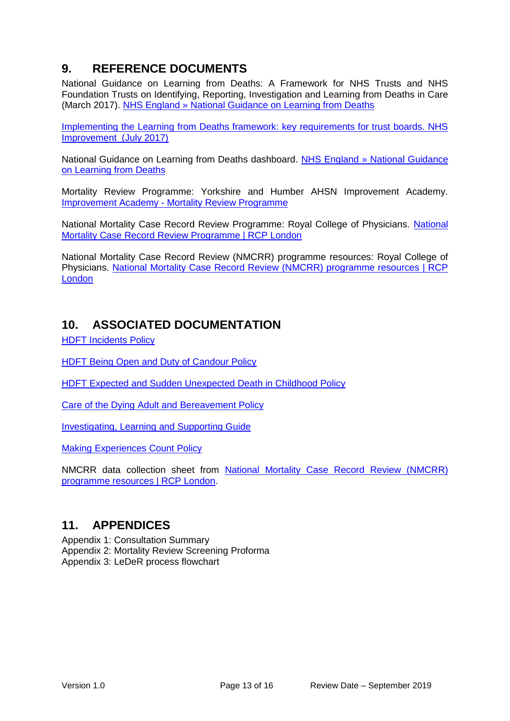## <span id="page-11-0"></span>**9. REFERENCE DOCUMENTS**

National Guidance on Learning from Deaths: A Framework for NHS Trusts and NHS Foundation Trusts on Identifying, Reporting, Investigation and Learning from Deaths in Care (March 2017). [NHS England » National Guidance on Learning from Deaths](https://www.england.nhs.uk/publication/national-guidance-on-learning-from-deaths/)

[Implementing the Learning from Deaths framework: key requirements for trust boards. NHS](https://improvement.nhs.uk/resources/learning-deaths-nhs/)  [Improvement \(July 2017\)](https://improvement.nhs.uk/resources/learning-deaths-nhs/)

National Guidance on Learning from Deaths dashboard. [NHS England » National Guidance](https://www.england.nhs.uk/publication/national-guidance-on-learning-from-deaths/)  [on Learning from Deaths](https://www.england.nhs.uk/publication/national-guidance-on-learning-from-deaths/)

Mortality Review Programme: Yorkshire and Humber AHSN Improvement Academy. Improvement Academy - [Mortality Review Programme](http://www.improvementacademy.org/patient-safety/mortality-review-programme.html)

National Mortality Case Record Review Programme: Royal College of Physicians. [National](https://www.rcplondon.ac.uk/projects/national-mortality-case-record-review-programme)  [Mortality Case Record Review Programme | RCP London](https://www.rcplondon.ac.uk/projects/national-mortality-case-record-review-programme)

National Mortality Case Record Review (NMCRR) programme resources: Royal College of Physicians. [National Mortality Case Record Review \(NMCRR\) programme resources | RCP](https://www.rcplondon.ac.uk/projects/outputs/national-mortality-case-record-review-nmcrr-programme-resources)  [London](https://www.rcplondon.ac.uk/projects/outputs/national-mortality-case-record-review-nmcrr-programme-resources)

### <span id="page-11-1"></span>**10. ASSOCIATED DOCUMENTATION**

[HDFT Incidents Policy](http://nww.hdft.nhs.uk/EasysiteWeb/getresource.axd?AssetID=66523&type=full&servicetype=Attachment)

[HDFT Being Open and Duty of Candour Policy](http://nww.hdft.nhs.uk/EasysiteWeb/getresource.axd?AssetID=2659&type=full&servicetype=Attachment)

[HDFT Expected and Sudden Unexpected Death in Childhood Policy](http://nww.hdft.nhs.uk/EasysiteWeb/getresource.axd?AssetID=20438&type=full&servicetype=Attachment)

[Care of the Dying Adult and Bereavement Policy](http://nww.hdft.nhs.uk/EasysiteWeb/getresource.axd?AssetID=5452&type=full&servicetype=Attachment)

[Investigating, Learning and Supporting Guide](http://nww.hdft.nhs.uk/EasysiteWeb/getresource.axd?AssetID=5099&type=full&servicetype=Attachment)

[Making Experiences Count Policy](http://nww.hdft.nhs.uk/EasysiteWeb/getresource.axd?AssetID=30473&type=full&servicetype=Attachment)

NMCRR data collection sheet from [National Mortality Case Record Review \(NMCRR\)](https://www.rcplondon.ac.uk/projects/outputs/national-mortality-case-record-review-nmcrr-programme-resources)  [programme resources | RCP London.](https://www.rcplondon.ac.uk/projects/outputs/national-mortality-case-record-review-nmcrr-programme-resources)

### <span id="page-11-2"></span>**11. APPENDICES**

Appendix 1: Consultation Summary Appendix 2: Mortality Review Screening Proforma Appendix 3: LeDeR process flowchart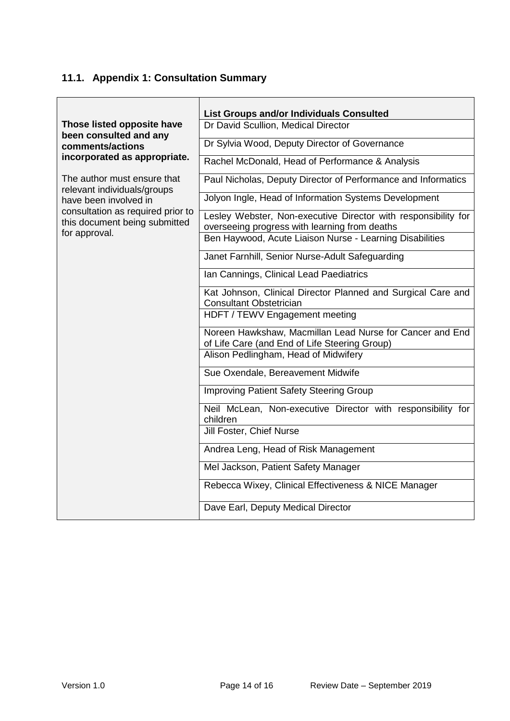## <span id="page-12-0"></span>**11.1. Appendix 1: Consultation Summary**

|                                                                    | <b>List Groups and/or Individuals Consulted</b>                                                                 |
|--------------------------------------------------------------------|-----------------------------------------------------------------------------------------------------------------|
| Those listed opposite have<br>been consulted and any               | Dr David Scullion, Medical Director                                                                             |
| comments/actions                                                   | Dr Sylvia Wood, Deputy Director of Governance                                                                   |
| incorporated as appropriate.                                       | Rachel McDonald, Head of Performance & Analysis                                                                 |
| The author must ensure that<br>relevant individuals/groups         | Paul Nicholas, Deputy Director of Performance and Informatics                                                   |
| have been involved in                                              | Jolyon Ingle, Head of Information Systems Development                                                           |
| consultation as required prior to<br>this document being submitted | Lesley Webster, Non-executive Director with responsibility for<br>overseeing progress with learning from deaths |
| for approval.                                                      | Ben Haywood, Acute Liaison Nurse - Learning Disabilities                                                        |
|                                                                    | Janet Farnhill, Senior Nurse-Adult Safeguarding                                                                 |
|                                                                    | Ian Cannings, Clinical Lead Paediatrics                                                                         |
|                                                                    | Kat Johnson, Clinical Director Planned and Surgical Care and<br><b>Consultant Obstetrician</b>                  |
|                                                                    | HDFT / TEWV Engagement meeting                                                                                  |
|                                                                    | Noreen Hawkshaw, Macmillan Lead Nurse for Cancer and End<br>of Life Care (and End of Life Steering Group)       |
|                                                                    | Alison Pedlingham, Head of Midwifery                                                                            |
|                                                                    | Sue Oxendale, Bereavement Midwife                                                                               |
|                                                                    | Improving Patient Safety Steering Group                                                                         |
|                                                                    | Neil McLean, Non-executive Director with responsibility for<br>children                                         |
|                                                                    | Jill Foster, Chief Nurse                                                                                        |
|                                                                    | Andrea Leng, Head of Risk Management                                                                            |
|                                                                    | Mel Jackson, Patient Safety Manager                                                                             |
|                                                                    | Rebecca Wixey, Clinical Effectiveness & NICE Manager                                                            |
|                                                                    | Dave Earl, Deputy Medical Director                                                                              |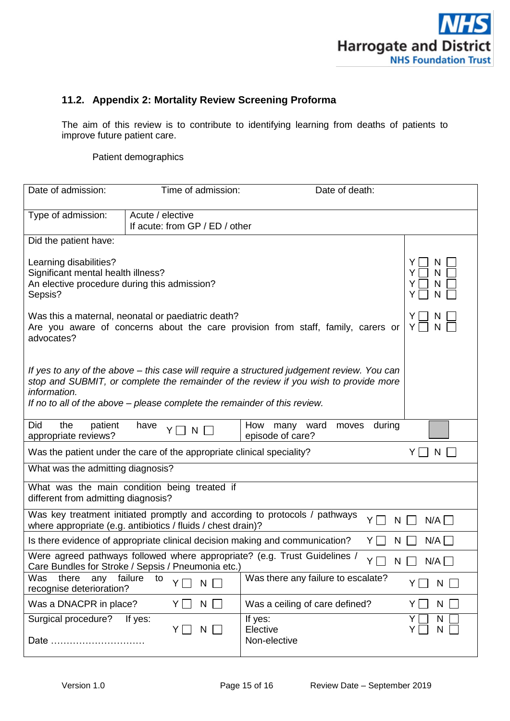

### <span id="page-13-0"></span>**11.2. Appendix 2: Mortality Review Screening Proforma**

The aim of this review is to contribute to identifying learning from deaths of patients to improve future patient care.

Patient demographics

| Date of admission:                                                                                                                                                                                                                                                              | Time of admission:                                 | Date of death:                      |                   |
|---------------------------------------------------------------------------------------------------------------------------------------------------------------------------------------------------------------------------------------------------------------------------------|----------------------------------------------------|-------------------------------------|-------------------|
|                                                                                                                                                                                                                                                                                 |                                                    |                                     |                   |
| Type of admission:                                                                                                                                                                                                                                                              | Acute / elective<br>If acute: from GP / ED / other |                                     |                   |
| Did the patient have:                                                                                                                                                                                                                                                           |                                                    |                                     |                   |
| Learning disabilities?<br>Significant mental health illness?<br>An elective procedure during this admission?<br>Sepsis?                                                                                                                                                         | N<br>N<br>Y<br>N<br>Y<br>Y<br>N                    |                                     |                   |
| Was this a maternal, neonatal or paediatric death?<br>Y<br>Are you aware of concerns about the care provision from staff, family, carers or<br>Y.<br>N<br>advocates?                                                                                                            |                                                    |                                     |                   |
| If yes to any of the above – this case will require a structured judgement review. You can<br>stop and SUBMIT, or complete the remainder of the review if you wish to provide more<br>information.<br>If no to all of the above – please complete the remainder of this review. |                                                    |                                     |                   |
| Did<br>the<br>patient<br>How many ward<br>during<br>moves<br>have<br>N<br>appropriate reviews?<br>episode of care?                                                                                                                                                              |                                                    |                                     |                   |
| Was the patient under the care of the appropriate clinical speciality?<br>Y<br>N                                                                                                                                                                                                |                                                    |                                     |                   |
| What was the admitting diagnosis?                                                                                                                                                                                                                                               |                                                    |                                     |                   |
| What was the main condition being treated if<br>different from admitting diagnosis?                                                                                                                                                                                             |                                                    |                                     |                   |
| Was key treatment initiated promptly and according to protocols / pathways<br>YΓ<br>$N/A$ $\Box$<br>N<br>where appropriate (e.g. antibiotics / fluids / chest drain)?                                                                                                           |                                                    |                                     |                   |
| $N/A$ $\Box$<br>Is there evidence of appropriate clinical decision making and communication?<br>$Y\Gamma$<br>N                                                                                                                                                                  |                                                    |                                     |                   |
| Were agreed pathways followed where appropriate? (e.g. Trust Guidelines /<br>ΥI<br>N/A<br>N<br>Care Bundles for Stroke / Sepsis / Pneumonia etc.)                                                                                                                               |                                                    |                                     |                   |
| Was<br>there<br>any<br>recognise deterioration?                                                                                                                                                                                                                                 | failure<br>to<br>$\mathsf{N}$<br>Y                 | Was there any failure to escalate?  | N<br>ΥI           |
| Was a DNACPR in place?                                                                                                                                                                                                                                                          | N<br>YII                                           | Was a ceiling of care defined?      | Y<br>N            |
| Surgical procedure?<br>Date                                                                                                                                                                                                                                                     | If yes:<br>N<br>YII<br>$\mathbf{I}$                | If yes:<br>Elective<br>Non-elective | Y<br>N<br>N<br>Y. |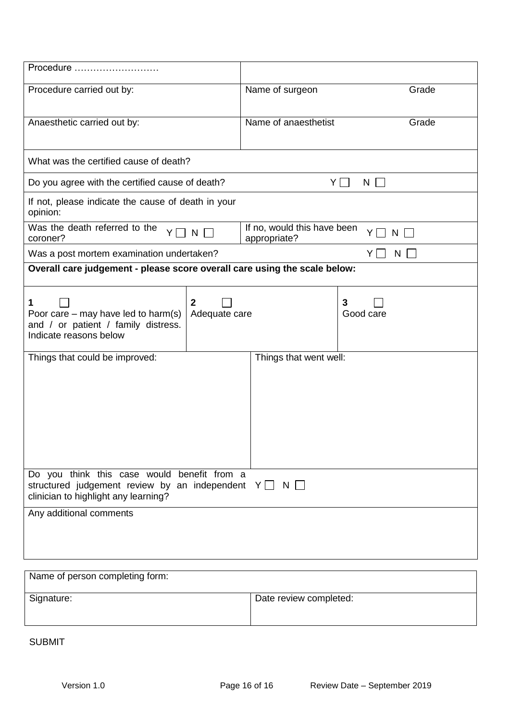| Procedure                                                                                                                                            |                                 |                        |                      |
|------------------------------------------------------------------------------------------------------------------------------------------------------|---------------------------------|------------------------|----------------------|
| Procedure carried out by:                                                                                                                            |                                 | Name of surgeon        | Grade                |
| Anaesthetic carried out by:                                                                                                                          |                                 | Name of anaesthetist   | Grade                |
| What was the certified cause of death?                                                                                                               |                                 |                        |                      |
| Do you agree with the certified cause of death?                                                                                                      |                                 |                        | YI<br>$N$            |
| If not, please indicate the cause of death in your<br>opinion:                                                                                       |                                 |                        |                      |
| Was the death referred to the<br>If no, would this have been<br>$N$ $\Box$<br>YII<br>$N \Box$<br>coroner?<br>appropriate?                            |                                 |                        |                      |
| Was a post mortem examination undertaken?                                                                                                            |                                 |                        | $Y \Box$<br>$N \Box$ |
| Overall care judgement - please score overall care using the scale below:                                                                            |                                 |                        |                      |
| 1<br>Poor care $-$ may have led to harm(s)<br>and / or patient / family distress.<br>Indicate reasons below                                          | $\overline{2}$<br>Adequate care |                        | 3<br>Good care       |
| Things that could be improved:                                                                                                                       |                                 | Things that went well: |                      |
| Do you think this case would benefit from a<br>structured judgement review by an independent $Y \Box N \Box$<br>clinician to highlight any learning? |                                 |                        |                      |
| Any additional comments                                                                                                                              |                                 |                        |                      |
|                                                                                                                                                      |                                 |                        |                      |

| Name of person completing form: |                        |  |  |
|---------------------------------|------------------------|--|--|
| Signature:                      | Date review completed: |  |  |

SUBMIT